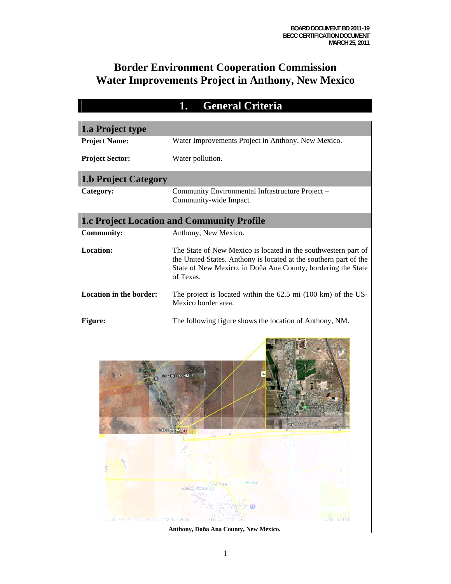## **Border Environment Cooperation Commission Water Improvements Project in Anthony, New Mexico**

| 1.a Project type<br><b>Project Name:</b><br>Water Improvements Project in Anthony, New Mexico.<br>Water pollution.<br><b>Project Sector:</b><br><b>1.b Project Category</b><br>Category:<br>Community Environmental Infrastructure Project -<br>Community-wide Impact.<br><b>1.c Project Location and Community Profile</b><br>Anthony, New Mexico.<br><b>Community:</b> |  |
|--------------------------------------------------------------------------------------------------------------------------------------------------------------------------------------------------------------------------------------------------------------------------------------------------------------------------------------------------------------------------|--|
|                                                                                                                                                                                                                                                                                                                                                                          |  |
|                                                                                                                                                                                                                                                                                                                                                                          |  |
|                                                                                                                                                                                                                                                                                                                                                                          |  |
|                                                                                                                                                                                                                                                                                                                                                                          |  |
|                                                                                                                                                                                                                                                                                                                                                                          |  |
|                                                                                                                                                                                                                                                                                                                                                                          |  |
|                                                                                                                                                                                                                                                                                                                                                                          |  |
|                                                                                                                                                                                                                                                                                                                                                                          |  |
| <b>Location:</b><br>The State of New Mexico is located in the southwestern part of<br>the United States. Anthony is located at the southern part of the<br>State of New Mexico, in Doña Ana County, bordering the State<br>of Texas.                                                                                                                                     |  |
| <b>Location in the border:</b><br>The project is located within the $62.5$ mi $(100 \text{ km})$ of the US-<br>Mexico border area.                                                                                                                                                                                                                                       |  |
| <b>Figure:</b><br>The following figure shows the location of Anthony, NM.                                                                                                                                                                                                                                                                                                |  |
| Las Gruces, NM<br>Anthony, NM                                                                                                                                                                                                                                                                                                                                            |  |
| El Pane<br>E09/100<br>Chéné Jahrry<br>(mart Critic Trustitute<br>CSH-<br>America Confinenzat<br>380771.30<br>LLE CHANGE NOS<br>SHEED ANGLESSARI NELLEPHENT COM CHUI<br><b>Streethe Hilling 920-3</b><br>50.30ml<br>small.                                                                                                                                                |  |

**Anthony, Doña Ana County, New Mexico.**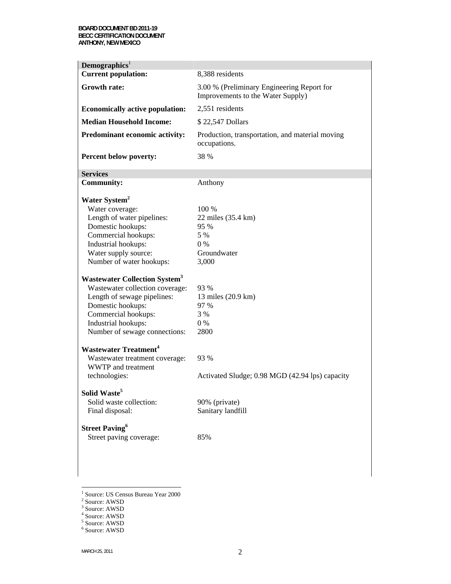| Demographics <sup>1</sup>                       |                                                                                 |
|-------------------------------------------------|---------------------------------------------------------------------------------|
| <b>Current population:</b>                      | 8,388 residents                                                                 |
| <b>Growth rate:</b>                             | 3.00 % (Preliminary Engineering Report for<br>Improvements to the Water Supply) |
| <b>Economically active population:</b>          | 2,551 residents                                                                 |
| <b>Median Household Income:</b>                 | \$22,547 Dollars                                                                |
| Predominant economic activity:                  | Production, transportation, and material moving<br>occupations.                 |
| Percent below poverty:                          | 38 %                                                                            |
| <b>Services</b>                                 |                                                                                 |
| <b>Community:</b>                               | Anthony                                                                         |
| Water System <sup>2</sup>                       |                                                                                 |
| Water coverage:                                 | 100 %                                                                           |
| Length of water pipelines:                      | 22 miles (35.4 km)                                                              |
| Domestic hookups:                               | 95 %                                                                            |
| Commercial hookups:                             | 5 %                                                                             |
| Industrial hookups:                             | $0\%$                                                                           |
| Water supply source:                            | Groundwater                                                                     |
| Number of water hookups:                        | 3,000                                                                           |
| <b>Wastewater Collection System<sup>3</sup></b> |                                                                                 |
| Wastewater collection coverage:                 | 93 %                                                                            |
| Length of sewage pipelines:                     | 13 miles (20.9 km)                                                              |
| Domestic hookups:                               | 97 %                                                                            |
| Commercial hookups:                             | 3 %                                                                             |
| Industrial hookups:                             | $0\%$                                                                           |
| Number of sewage connections:                   | 2800                                                                            |
|                                                 |                                                                                 |
| <b>Wastewater Treatment<sup>4</sup></b>         |                                                                                 |
| Wastewater treatment coverage:                  | 93 %                                                                            |
| WWTP and treatment                              |                                                                                 |
| technologies:                                   | Activated Sludge; 0.98 MGD (42.94 lps) capacity                                 |
| Solid Waste <sup>5</sup>                        |                                                                                 |
| Solid waste collection:                         | 90% (private)                                                                   |
| Final disposal:                                 | Sanitary landfill                                                               |
| <b>Street Paving</b> <sup>6</sup>               |                                                                                 |
| Street paving coverage:                         | 85%                                                                             |
|                                                 |                                                                                 |
|                                                 |                                                                                 |

<sup>&</sup>lt;sup>1</sup> Source: US Census Bureau Year 2000<br><sup>2</sup> Source: AWSD<br><sup>3</sup> Source: AWSD

<sup>&</sup>lt;sup>4</sup> Source: AWSD<br><sup>5</sup> Source: AWSD<br><sup>6</sup> Source: AWSD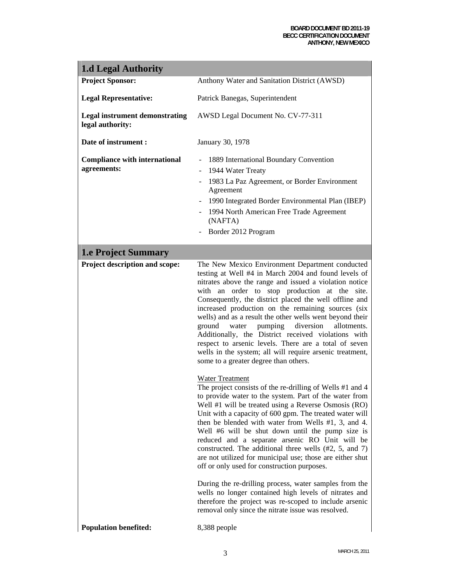#### **BOARD DOCUMENT BD 2011-19 BECC CERTIFICATION DOCUMENT ANTHONY, NEW MEXICO**

| <b>1.d Legal Authority</b>                                |                                                                                                                                                                                                                                                                                                                                                                                                                                                                                                                                                                                                                                                                                                                                                                                                                                                                                                                                                                                                                                                                                                                                                                                                                                                                                                                                                                                                                                                                                                                         |
|-----------------------------------------------------------|-------------------------------------------------------------------------------------------------------------------------------------------------------------------------------------------------------------------------------------------------------------------------------------------------------------------------------------------------------------------------------------------------------------------------------------------------------------------------------------------------------------------------------------------------------------------------------------------------------------------------------------------------------------------------------------------------------------------------------------------------------------------------------------------------------------------------------------------------------------------------------------------------------------------------------------------------------------------------------------------------------------------------------------------------------------------------------------------------------------------------------------------------------------------------------------------------------------------------------------------------------------------------------------------------------------------------------------------------------------------------------------------------------------------------------------------------------------------------------------------------------------------------|
| <b>Project Sponsor:</b>                                   | Anthony Water and Sanitation District (AWSD)                                                                                                                                                                                                                                                                                                                                                                                                                                                                                                                                                                                                                                                                                                                                                                                                                                                                                                                                                                                                                                                                                                                                                                                                                                                                                                                                                                                                                                                                            |
| <b>Legal Representative:</b>                              | Patrick Banegas, Superintendent                                                                                                                                                                                                                                                                                                                                                                                                                                                                                                                                                                                                                                                                                                                                                                                                                                                                                                                                                                                                                                                                                                                                                                                                                                                                                                                                                                                                                                                                                         |
| <b>Legal instrument demonstrating</b><br>legal authority: | AWSD Legal Document No. CV-77-311                                                                                                                                                                                                                                                                                                                                                                                                                                                                                                                                                                                                                                                                                                                                                                                                                                                                                                                                                                                                                                                                                                                                                                                                                                                                                                                                                                                                                                                                                       |
| Date of instrument :                                      | January 30, 1978                                                                                                                                                                                                                                                                                                                                                                                                                                                                                                                                                                                                                                                                                                                                                                                                                                                                                                                                                                                                                                                                                                                                                                                                                                                                                                                                                                                                                                                                                                        |
| <b>Compliance with international</b><br>agreements:       | 1889 International Boundary Convention<br>1944 Water Treaty<br>$\overline{\phantom{a}}$<br>1983 La Paz Agreement, or Border Environment<br>Agreement<br>- 1990 Integrated Border Environmental Plan (IBEP)<br>1994 North American Free Trade Agreement<br>(NAFTA)<br>Border 2012 Program                                                                                                                                                                                                                                                                                                                                                                                                                                                                                                                                                                                                                                                                                                                                                                                                                                                                                                                                                                                                                                                                                                                                                                                                                                |
| <b>1.e Project Summary</b>                                |                                                                                                                                                                                                                                                                                                                                                                                                                                                                                                                                                                                                                                                                                                                                                                                                                                                                                                                                                                                                                                                                                                                                                                                                                                                                                                                                                                                                                                                                                                                         |
| Project description and scope:                            | The New Mexico Environment Department conducted<br>testing at Well #4 in March 2004 and found levels of<br>nitrates above the range and issued a violation notice<br>with an order to stop production at the site.<br>Consequently, the district placed the well offline and<br>increased production on the remaining sources (six<br>wells) and as a result the other wells went beyond their<br>pumping<br>diversion<br>allotments.<br>ground<br>water<br>Additionally, the District received violations with<br>respect to arsenic levels. There are a total of seven<br>wells in the system; all will require arsenic treatment,<br>some to a greater degree than others.<br><b>Water Treatment</b><br>The project consists of the re-drilling of Wells #1 and 4<br>to provide water to the system. Part of the water from<br>Well #1 will be treated using a Reverse Osmosis (RO)<br>Unit with a capacity of 600 gpm. The treated water will<br>then be blended with water from Wells #1, 3, and 4.<br>Well #6 will be shut down until the pump size is<br>reduced and a separate arsenic RO Unit will be<br>constructed. The additional three wells (#2, 5, and 7)<br>are not utilized for municipal use; those are either shut<br>off or only used for construction purposes.<br>During the re-drilling process, water samples from the<br>wells no longer contained high levels of nitrates and<br>therefore the project was re-scoped to include arsenic<br>removal only since the nitrate issue was resolved. |
| <b>Population benefited:</b>                              | 8,388 people                                                                                                                                                                                                                                                                                                                                                                                                                                                                                                                                                                                                                                                                                                                                                                                                                                                                                                                                                                                                                                                                                                                                                                                                                                                                                                                                                                                                                                                                                                            |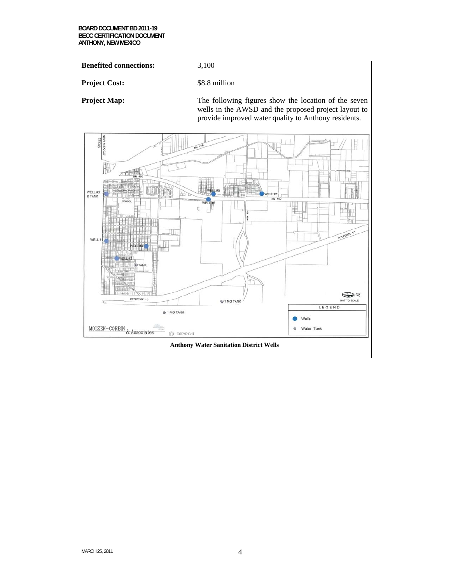**BOARD DOCUMENT BD 2011-19 BECC CERTIFICATION DOCUMENT ANTHONY, NEW MEXICO** 

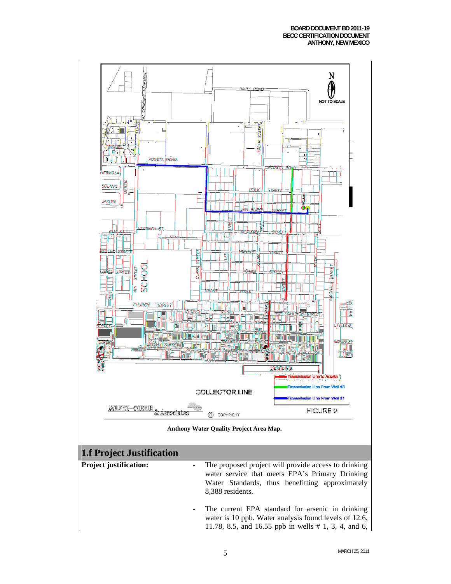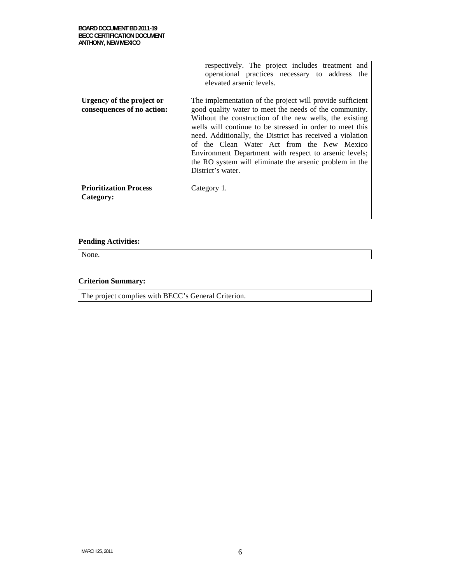|                                                         | respectively. The project includes treatment and<br>operational practices necessary to address the<br>elevated arsenic levels.                                                                                                                                                                                                                                                                                                                                                                  |
|---------------------------------------------------------|-------------------------------------------------------------------------------------------------------------------------------------------------------------------------------------------------------------------------------------------------------------------------------------------------------------------------------------------------------------------------------------------------------------------------------------------------------------------------------------------------|
| Urgency of the project or<br>consequences of no action: | The implementation of the project will provide sufficient<br>good quality water to meet the needs of the community.<br>Without the construction of the new wells, the existing<br>wells will continue to be stressed in order to meet this<br>need. Additionally, the District has received a violation<br>of the Clean Water Act from the New Mexico<br>Environment Department with respect to arsenic levels;<br>the RO system will eliminate the arsenic problem in the<br>District's water. |
| <b>Prioritization Process</b><br>Category:              | Category 1.                                                                                                                                                                                                                                                                                                                                                                                                                                                                                     |

None.

#### **Criterion Summary:**

The project complies with BECC's General Criterion.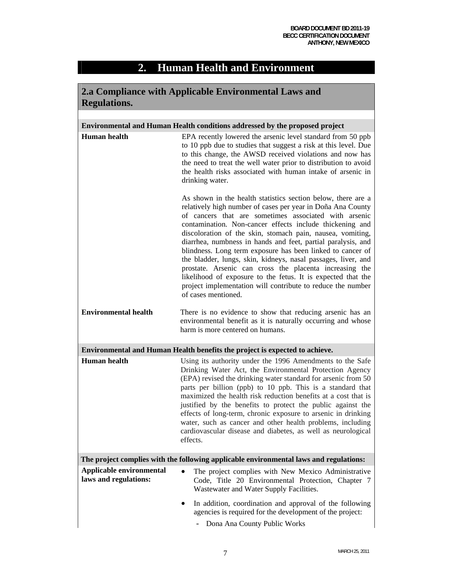# **2. Human Health and Environment**

| 2.a Compliance with Applicable Environmental Laws and |                                                                                                                                                                                                                                                                                                                                                                                                                                                                                                                                                                                                                                                                                                                                |  |  |  |  |  |  |  |  |
|-------------------------------------------------------|--------------------------------------------------------------------------------------------------------------------------------------------------------------------------------------------------------------------------------------------------------------------------------------------------------------------------------------------------------------------------------------------------------------------------------------------------------------------------------------------------------------------------------------------------------------------------------------------------------------------------------------------------------------------------------------------------------------------------------|--|--|--|--|--|--|--|--|
| <b>Regulations.</b>                                   |                                                                                                                                                                                                                                                                                                                                                                                                                                                                                                                                                                                                                                                                                                                                |  |  |  |  |  |  |  |  |
|                                                       |                                                                                                                                                                                                                                                                                                                                                                                                                                                                                                                                                                                                                                                                                                                                |  |  |  |  |  |  |  |  |
|                                                       | <b>Environmental and Human Health conditions addressed by the proposed project</b>                                                                                                                                                                                                                                                                                                                                                                                                                                                                                                                                                                                                                                             |  |  |  |  |  |  |  |  |
| <b>Human</b> health                                   | EPA recently lowered the arsenic level standard from 50 ppb<br>to 10 ppb due to studies that suggest a risk at this level. Due<br>to this change, the AWSD received violations and now has<br>the need to treat the well water prior to distribution to avoid<br>the health risks associated with human intake of arsenic in<br>drinking water.                                                                                                                                                                                                                                                                                                                                                                                |  |  |  |  |  |  |  |  |
|                                                       | As shown in the health statistics section below, there are a<br>relatively high number of cases per year in Doña Ana County<br>of cancers that are sometimes associated with arsenic<br>contamination. Non-cancer effects include thickening and<br>discoloration of the skin, stomach pain, nausea, vomiting,<br>diarrhea, numbness in hands and feet, partial paralysis, and<br>blindness. Long term exposure has been linked to cancer of<br>the bladder, lungs, skin, kidneys, nasal passages, liver, and<br>prostate. Arsenic can cross the placenta increasing the<br>likelihood of exposure to the fetus. It is expected that the<br>project implementation will contribute to reduce the number<br>of cases mentioned. |  |  |  |  |  |  |  |  |
| <b>Environmental health</b>                           | There is no evidence to show that reducing arsenic has an<br>environmental benefit as it is naturally occurring and whose<br>harm is more centered on humans.                                                                                                                                                                                                                                                                                                                                                                                                                                                                                                                                                                  |  |  |  |  |  |  |  |  |
|                                                       | Environmental and Human Health benefits the project is expected to achieve.                                                                                                                                                                                                                                                                                                                                                                                                                                                                                                                                                                                                                                                    |  |  |  |  |  |  |  |  |
| <b>Human</b> health                                   | Using its authority under the 1996 Amendments to the Safe<br>Drinking Water Act, the Environmental Protection Agency<br>(EPA) revised the drinking water standard for arsenic from 50<br>parts per billion (ppb) to 10 ppb. This is a standard that<br>maximized the health risk reduction benefits at a cost that is<br>justified by the benefits to protect the public against the<br>effects of long-term, chronic exposure to arsenic in drinking<br>water, such as cancer and other health problems, including<br>cardiovascular disease and diabetes, as well as neurological<br>effects.                                                                                                                                |  |  |  |  |  |  |  |  |
|                                                       | The project complies with the following applicable environmental laws and regulations:                                                                                                                                                                                                                                                                                                                                                                                                                                                                                                                                                                                                                                         |  |  |  |  |  |  |  |  |
| Applicable environmental<br>laws and regulations:     | The project complies with New Mexico Administrative<br>$\bullet$<br>Code, Title 20 Environmental Protection, Chapter 7<br>Wastewater and Water Supply Facilities.                                                                                                                                                                                                                                                                                                                                                                                                                                                                                                                                                              |  |  |  |  |  |  |  |  |
|                                                       | In addition, coordination and approval of the following<br>agencies is required for the development of the project:<br>Dona Ana County Public Works                                                                                                                                                                                                                                                                                                                                                                                                                                                                                                                                                                            |  |  |  |  |  |  |  |  |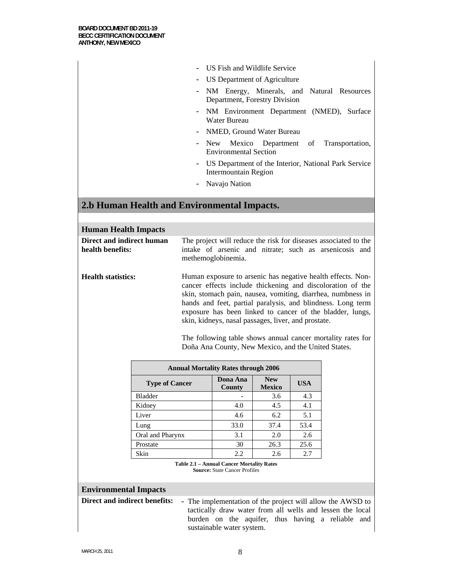- US Fish and Wildlife Service
- US Department of Agriculture
- NM Energy, Minerals, and Natural Resources Department, Forestry Division
- NM Environment Department (NMED), Surface Water Bureau
- NMED, Ground Water Bureau
- New Mexico Department of Transportation, Environmental Section
- US Department of the Interior, National Park Service Intermountain Region
- Navajo Nation

## **2.b Human Health and Environmental Impacts.**

| <b>Human Health Impacts</b>                   |                                            |  |                                                                                                                                                 |                             |            |                                                                                                                                                                                                                                                                                                                                                                                     |  |  |  |  |  |  |  |
|-----------------------------------------------|--------------------------------------------|--|-------------------------------------------------------------------------------------------------------------------------------------------------|-----------------------------|------------|-------------------------------------------------------------------------------------------------------------------------------------------------------------------------------------------------------------------------------------------------------------------------------------------------------------------------------------------------------------------------------------|--|--|--|--|--|--|--|
| Direct and indirect human<br>health benefits: |                                            |  | The project will reduce the risk for diseases associated to the<br>intake of arsenic and nitrate; such as arsenicosis and<br>methemoglobinemia. |                             |            |                                                                                                                                                                                                                                                                                                                                                                                     |  |  |  |  |  |  |  |
| <b>Health statistics:</b>                     |                                            |  | skin, kidneys, nasal passages, liver, and prostate.<br>Doña Ana County, New Mexico, and the United States.                                      |                             |            | Human exposure to arsenic has negative health effects. Non-<br>cancer effects include thickening and discoloration of the<br>skin, stomach pain, nausea, vomiting, diarrhea, numbness in<br>hands and feet, partial paralysis, and blindness. Long term<br>exposure has been linked to cancer of the bladder, lungs,<br>The following table shows annual cancer mortality rates for |  |  |  |  |  |  |  |
|                                               | <b>Annual Mortality Rates through 2006</b> |  |                                                                                                                                                 |                             |            |                                                                                                                                                                                                                                                                                                                                                                                     |  |  |  |  |  |  |  |
|                                               | <b>Type of Cancer</b>                      |  | Dona Ana<br>County                                                                                                                              | <b>New</b><br><b>Mexico</b> | <b>USA</b> |                                                                                                                                                                                                                                                                                                                                                                                     |  |  |  |  |  |  |  |
|                                               | <b>Bladder</b>                             |  |                                                                                                                                                 | 3.6                         | 4.3        |                                                                                                                                                                                                                                                                                                                                                                                     |  |  |  |  |  |  |  |
|                                               | Kidney                                     |  | 4.0                                                                                                                                             | 4.5                         | 4.1        |                                                                                                                                                                                                                                                                                                                                                                                     |  |  |  |  |  |  |  |
|                                               | Liver                                      |  | 4.6                                                                                                                                             | 6.2                         | 5.1        |                                                                                                                                                                                                                                                                                                                                                                                     |  |  |  |  |  |  |  |
|                                               | Lung                                       |  | 33.0                                                                                                                                            | 37.4                        | 53.4       |                                                                                                                                                                                                                                                                                                                                                                                     |  |  |  |  |  |  |  |
|                                               | Oral and Pharynx                           |  | 3.1                                                                                                                                             | 2.0                         | 2.6        |                                                                                                                                                                                                                                                                                                                                                                                     |  |  |  |  |  |  |  |
|                                               | Prostate                                   |  | 30                                                                                                                                              | 26.3                        | 25.6       |                                                                                                                                                                                                                                                                                                                                                                                     |  |  |  |  |  |  |  |
|                                               | Skin                                       |  | 2.2                                                                                                                                             | 2.6                         | 2.7        |                                                                                                                                                                                                                                                                                                                                                                                     |  |  |  |  |  |  |  |
|                                               |                                            |  | <b>Table 2.1 - Annual Cancer Mortality Rates</b><br><b>Source: State Cancer Profiles</b>                                                        |                             |            |                                                                                                                                                                                                                                                                                                                                                                                     |  |  |  |  |  |  |  |
| <b>Environmental Impacts</b>                  |                                            |  |                                                                                                                                                 |                             |            |                                                                                                                                                                                                                                                                                                                                                                                     |  |  |  |  |  |  |  |
| <b>Direct and indirect benefits:</b>          |                                            |  | sustainable water system.                                                                                                                       |                             |            | - The implementation of the project will allow the AWSD to<br>tactically draw water from all wells and lessen the local<br>burden on the aquifer, thus having a reliable and                                                                                                                                                                                                        |  |  |  |  |  |  |  |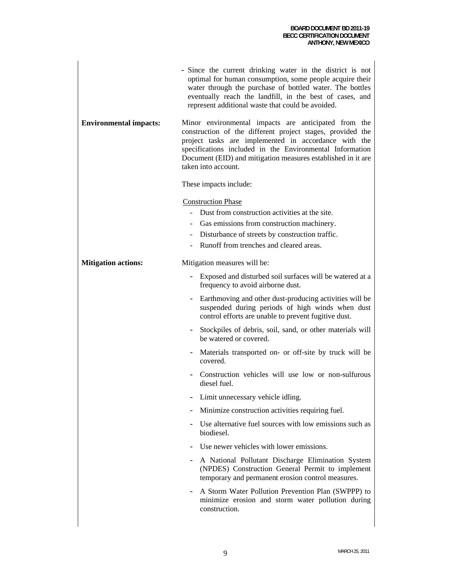|                               | - Since the current drinking water in the district is not<br>optimal for human consumption, some people acquire their<br>water through the purchase of bottled water. The bottles<br>eventually reach the landfill, in the best of cases, and<br>represent additional waste that could be avoided.                            |
|-------------------------------|-------------------------------------------------------------------------------------------------------------------------------------------------------------------------------------------------------------------------------------------------------------------------------------------------------------------------------|
| <b>Environmental impacts:</b> | Minor environmental impacts are anticipated from the<br>construction of the different project stages, provided the<br>project tasks are implemented in accordance with the<br>specifications included in the Environmental Information<br>Document (EID) and mitigation measures established in it are<br>taken into account. |
|                               | These impacts include:                                                                                                                                                                                                                                                                                                        |
|                               | <b>Construction Phase</b><br>- Dust from construction activities at the site.<br>Gas emissions from construction machinery.<br>Disturbance of streets by construction traffic.<br>Runoff from trenches and cleared areas.                                                                                                     |
| <b>Mitigation actions:</b>    | Mitigation measures will be:                                                                                                                                                                                                                                                                                                  |
|                               | Exposed and disturbed soil surfaces will be watered at a<br>frequency to avoid airborne dust.                                                                                                                                                                                                                                 |
|                               | Earthmoving and other dust-producing activities will be<br>suspended during periods of high winds when dust<br>control efforts are unable to prevent fugitive dust.                                                                                                                                                           |
|                               | Stockpiles of debris, soil, sand, or other materials will<br>be watered or covered.                                                                                                                                                                                                                                           |
|                               | Materials transported on- or off-site by truck will be<br>covered.                                                                                                                                                                                                                                                            |
|                               | Construction vehicles will use low or non-sulfurous<br>diesel fuel.                                                                                                                                                                                                                                                           |
|                               | Limit unnecessary vehicle idling.                                                                                                                                                                                                                                                                                             |
|                               | Minimize construction activities requiring fuel.                                                                                                                                                                                                                                                                              |
|                               | Use alternative fuel sources with low emissions such as<br>biodiesel.                                                                                                                                                                                                                                                         |
|                               | Use newer vehicles with lower emissions.                                                                                                                                                                                                                                                                                      |
|                               | A National Pollutant Discharge Elimination System<br>(NPDES) Construction General Permit to implement<br>temporary and permanent erosion control measures.                                                                                                                                                                    |
|                               | A Storm Water Pollution Prevention Plan (SWPPP) to<br>minimize erosion and storm water pollution during<br>construction.                                                                                                                                                                                                      |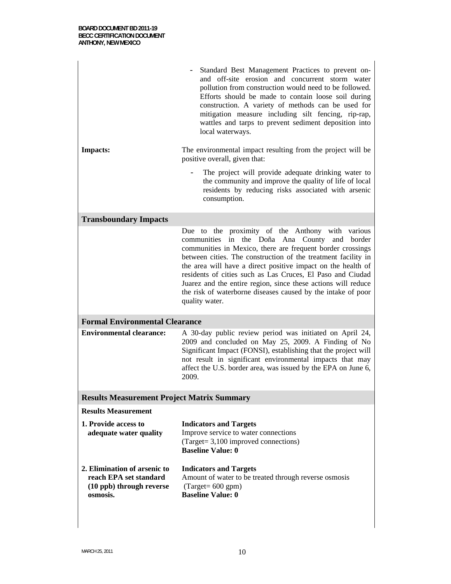|                                                                                                | Standard Best Management Practices to prevent on-<br>and off-site erosion and concurrent storm water<br>pollution from construction would need to be followed.<br>Efforts should be made to contain loose soil during<br>construction. A variety of methods can be used for<br>mitigation measure including silt fencing, rip-rap,<br>wattles and tarps to prevent sediment deposition into<br>local waterways.                                                                                                      |
|------------------------------------------------------------------------------------------------|----------------------------------------------------------------------------------------------------------------------------------------------------------------------------------------------------------------------------------------------------------------------------------------------------------------------------------------------------------------------------------------------------------------------------------------------------------------------------------------------------------------------|
| <b>Impacts:</b>                                                                                | The environmental impact resulting from the project will be<br>positive overall, given that:                                                                                                                                                                                                                                                                                                                                                                                                                         |
|                                                                                                | The project will provide adequate drinking water to<br>the community and improve the quality of life of local<br>residents by reducing risks associated with arsenic<br>consumption.                                                                                                                                                                                                                                                                                                                                 |
| <b>Transboundary Impacts</b>                                                                   |                                                                                                                                                                                                                                                                                                                                                                                                                                                                                                                      |
|                                                                                                | Due to the proximity of the Anthony with various<br>communities in the Doña Ana County<br>and border<br>communities in Mexico, there are frequent border crossings<br>between cities. The construction of the treatment facility in<br>the area will have a direct positive impact on the health of<br>residents of cities such as Las Cruces, El Paso and Ciudad<br>Juarez and the entire region, since these actions will reduce<br>the risk of waterborne diseases caused by the intake of poor<br>quality water. |
| <b>Formal Environmental Clearance</b>                                                          |                                                                                                                                                                                                                                                                                                                                                                                                                                                                                                                      |
| <b>Environmental clearance:</b>                                                                | A 30-day public review period was initiated on April 24,<br>2009 and concluded on May 25, 2009. A Finding of No<br>Significant Impact (FONSI), establishing that the project will<br>not result in significant environmental impacts that may<br>affect the U.S. border area, was issued by the EPA on June 6,<br>2009.                                                                                                                                                                                              |
| <b>Results Measurement Project Matrix Summary</b>                                              |                                                                                                                                                                                                                                                                                                                                                                                                                                                                                                                      |
| <b>Results Measurement</b>                                                                     |                                                                                                                                                                                                                                                                                                                                                                                                                                                                                                                      |
| 1. Provide access to<br>adequate water quality                                                 | <b>Indicators and Targets</b><br>Improve service to water connections<br>(Target= 3,100 improved connections)<br><b>Baseline Value: 0</b>                                                                                                                                                                                                                                                                                                                                                                            |
| 2. Elimination of arsenic to<br>reach EPA set standard<br>(10 ppb) through reverse<br>osmosis. | <b>Indicators and Targets</b><br>Amount of water to be treated through reverse osmosis<br>$\text{(Target= } 600 \text{ gpm)}$<br><b>Baseline Value: 0</b>                                                                                                                                                                                                                                                                                                                                                            |

Π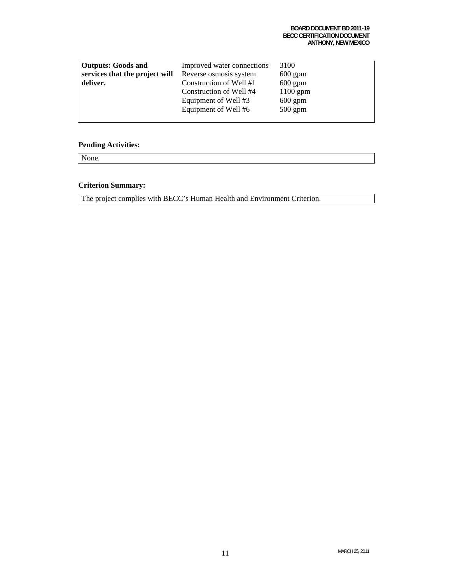| <b>Outputs: Goods and</b>      | Improved water connections | 3100       |
|--------------------------------|----------------------------|------------|
| services that the project will | Reverse osmosis system     | $600$ gpm  |
| deliver.                       | Construction of Well #1    | $600$ gpm  |
|                                | Construction of Well #4    | $1100$ gpm |
|                                | Equipment of Well #3       | $600$ gpm  |
|                                | Equipment of Well #6       | $500$ gpm  |
|                                |                            |            |

None.

#### **Criterion Summary:**

The project complies with BECC's Human Health and Environment Criterion.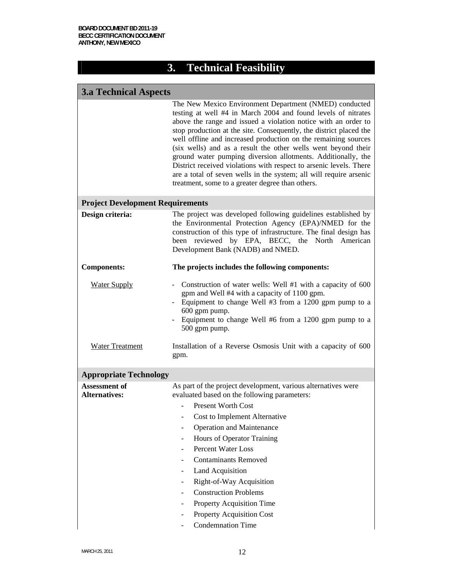# **3. Technical Feasibility**

| <b>3.a Technical Aspects</b>                 |                                                                                                                                                                                                                                                                                                                                                                                                                                                                                                                                                                                                                                                                    |  |  |  |  |  |  |  |  |
|----------------------------------------------|--------------------------------------------------------------------------------------------------------------------------------------------------------------------------------------------------------------------------------------------------------------------------------------------------------------------------------------------------------------------------------------------------------------------------------------------------------------------------------------------------------------------------------------------------------------------------------------------------------------------------------------------------------------------|--|--|--|--|--|--|--|--|
|                                              | The New Mexico Environment Department (NMED) conducted<br>testing at well #4 in March 2004 and found levels of nitrates<br>above the range and issued a violation notice with an order to<br>stop production at the site. Consequently, the district placed the<br>well offline and increased production on the remaining sources<br>(six wells) and as a result the other wells went beyond their<br>ground water pumping diversion allotments. Additionally, the<br>District received violations with respect to arsenic levels. There<br>are a total of seven wells in the system; all will require arsenic<br>treatment, some to a greater degree than others. |  |  |  |  |  |  |  |  |
| <b>Project Development Requirements</b>      |                                                                                                                                                                                                                                                                                                                                                                                                                                                                                                                                                                                                                                                                    |  |  |  |  |  |  |  |  |
| Design criteria:                             | The project was developed following guidelines established by<br>the Environmental Protection Agency (EPA)/NMED for the<br>construction of this type of infrastructure. The final design has<br>been reviewed by EPA, BECC, the North American<br>Development Bank (NADB) and NMED.                                                                                                                                                                                                                                                                                                                                                                                |  |  |  |  |  |  |  |  |
| <b>Components:</b>                           | The projects includes the following components:                                                                                                                                                                                                                                                                                                                                                                                                                                                                                                                                                                                                                    |  |  |  |  |  |  |  |  |
| <b>Water Supply</b>                          | Construction of water wells: Well #1 with a capacity of 600<br>gpm and Well #4 with a capacity of 1100 gpm.<br>Equipment to change Well #3 from a 1200 gpm pump to a<br>600 gpm pump.<br>Equipment to change Well #6 from a 1200 gpm pump to a<br>500 gpm pump.                                                                                                                                                                                                                                                                                                                                                                                                    |  |  |  |  |  |  |  |  |
| Water Treatment                              | Installation of a Reverse Osmosis Unit with a capacity of 600<br>gpm.                                                                                                                                                                                                                                                                                                                                                                                                                                                                                                                                                                                              |  |  |  |  |  |  |  |  |
| <b>Appropriate Technology</b>                |                                                                                                                                                                                                                                                                                                                                                                                                                                                                                                                                                                                                                                                                    |  |  |  |  |  |  |  |  |
| <b>Assessment of</b><br><b>Alternatives:</b> | As part of the project development, various alternatives were<br>evaluated based on the following parameters:<br><b>Present Worth Cost</b><br>Cost to Implement Alternative<br><b>Operation and Maintenance</b><br>Hours of Operator Training<br><b>Percent Water Loss</b><br><b>Contaminants Removed</b><br><b>Land Acquisition</b><br>Right-of-Way Acquisition<br><b>Construction Problems</b><br>Property Acquisition Time<br><b>Property Acquisition Cost</b><br><b>Condemnation Time</b>                                                                                                                                                                      |  |  |  |  |  |  |  |  |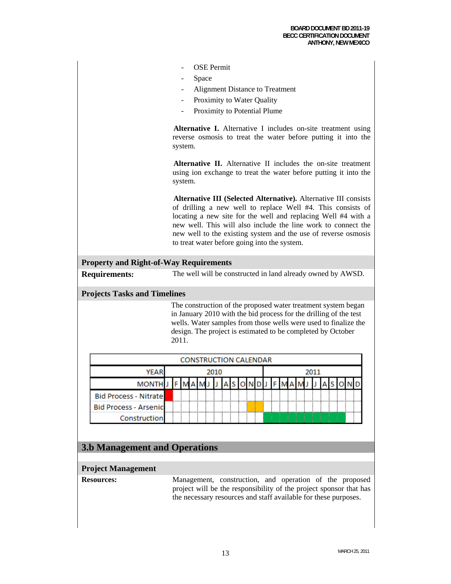| <b>OSE</b> Permit |  |
|-------------------|--|
|-------------------|--|

- **Space**
- Alignment Distance to Treatment
- Proximity to Water Quality
- Proximity to Potential Plume

**Alternative I.** Alternative I includes on-site treatment using reverse osmosis to treat the water before putting it into the system.

**Alternative II.** Alternative II includes the on-site treatment using ion exchange to treat the water before putting it into the system.

**Alternative III (Selected Alternative).** Alternative III consists of drilling a new well to replace Well #4. This consists of locating a new site for the well and replacing Well #4 with a new well. This will also include the line work to connect the new well to the existing system and the use of reverse osmosis to treat water before going into the system.

#### **Property and Right-of-Way Requirements**

**Requirements:** The well will be constructed in land already owned by AWSD.

#### **Projects Tasks and Timelines**

 The construction of the proposed water treatment system began in January 2010 with the bid process for the drilling of the test wells. Water samples from those wells were used to finalize the design. The project is estimated to be completed by October 2011.

|                               |  |  |  |  |  |  | <b>CONSTRUCTION CALENDAR</b> |  |  |      |  |  |  |  |  |  |
|-------------------------------|--|--|--|--|--|--|------------------------------|--|--|------|--|--|--|--|--|--|
| <b>YEAR</b><br>2010           |  |  |  |  |  |  |                              |  |  | 2011 |  |  |  |  |  |  |
| <b>MONTHI</b>                 |  |  |  |  |  |  |                              |  |  |      |  |  |  |  |  |  |
| Bid Process - Nitrate         |  |  |  |  |  |  |                              |  |  |      |  |  |  |  |  |  |
| <b>Bid Process - Arsenicl</b> |  |  |  |  |  |  |                              |  |  |      |  |  |  |  |  |  |
| <b>Construction</b>           |  |  |  |  |  |  |                              |  |  |      |  |  |  |  |  |  |

### **3.b Management and Operations**

#### **Project Management**

**Resources:** Management, construction, and operation of the proposed project will be the responsibility of the project sponsor that has the necessary resources and staff available for these purposes.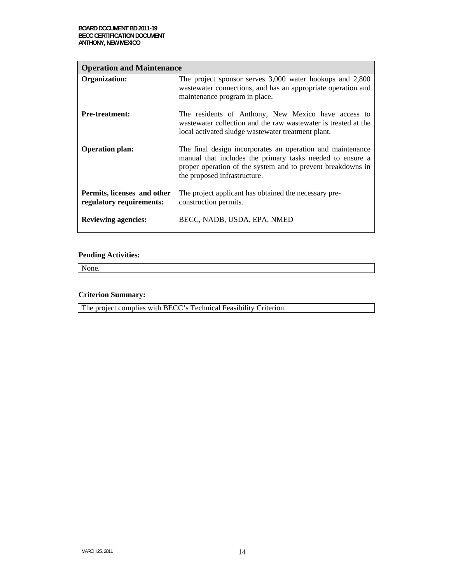| <b>Operation and Maintenance</b>                        |                                                                                                                                                                                                                        |  |  |  |
|---------------------------------------------------------|------------------------------------------------------------------------------------------------------------------------------------------------------------------------------------------------------------------------|--|--|--|
| Organization:                                           | The project sponsor serves 3,000 water hookups and 2,800<br>wastewater connections, and has an appropriate operation and<br>maintenance program in place.                                                              |  |  |  |
| <b>Pre-treatment:</b>                                   | The residents of Anthony, New Mexico have access to<br>wastewater collection and the raw wastewater is treated at the<br>local activated sludge wastewater treatment plant.                                            |  |  |  |
| <b>Operation plan:</b>                                  | The final design incorporates an operation and maintenance<br>manual that includes the primary tasks needed to ensure a<br>proper operation of the system and to prevent breakdowns in<br>the proposed infrastructure. |  |  |  |
| Permits, licenses and other<br>regulatory requirements: | The project applicant has obtained the necessary pre-<br>construction permits.                                                                                                                                         |  |  |  |
| <b>Reviewing agencies:</b>                              | BECC, NADB, USDA, EPA, NMED                                                                                                                                                                                            |  |  |  |

None.

#### **Criterion Summary:**

The project complies with BECC's Technical Feasibility Criterion.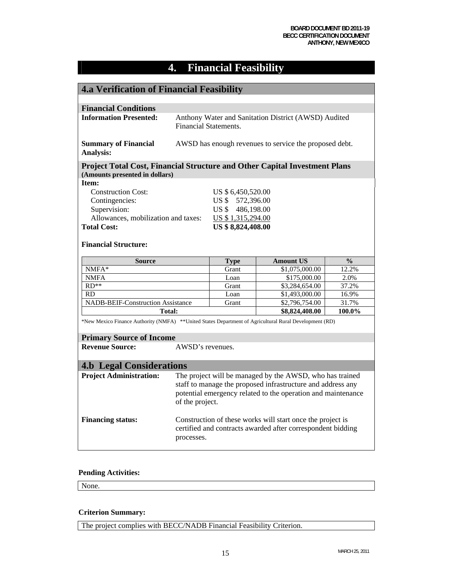# **4. Financial Feasibility**

| <b>4.a Verification of Financial Feasibility</b>                                                       |                                                             |                    |                                                              |               |  |
|--------------------------------------------------------------------------------------------------------|-------------------------------------------------------------|--------------------|--------------------------------------------------------------|---------------|--|
|                                                                                                        |                                                             |                    |                                                              |               |  |
| <b>Financial Conditions</b>                                                                            |                                                             |                    |                                                              |               |  |
| <b>Information Presented:</b>                                                                          |                                                             |                    | Anthony Water and Sanitation District (AWSD) Audited         |               |  |
|                                                                                                        | <b>Financial Statements.</b>                                |                    |                                                              |               |  |
| <b>Summary of Financial</b>                                                                            | AWSD has enough revenues to service the proposed debt.      |                    |                                                              |               |  |
| Analysis:                                                                                              |                                                             |                    |                                                              |               |  |
| <b>Project Total Cost, Financial Structure and Other Capital Investment Plans</b>                      |                                                             |                    |                                                              |               |  |
| (Amounts presented in dollars)                                                                         |                                                             |                    |                                                              |               |  |
| Item:                                                                                                  |                                                             |                    |                                                              |               |  |
| <b>Construction Cost:</b>                                                                              |                                                             | US \$ 6,450,520.00 |                                                              |               |  |
| Contingencies:                                                                                         |                                                             | US \$ 572,396.00   |                                                              |               |  |
| Supervision:                                                                                           |                                                             | US \$486,198.00    |                                                              |               |  |
| Allowances, mobilization and taxes:                                                                    |                                                             | US \$1,315,294.00  |                                                              |               |  |
| <b>Total Cost:</b>                                                                                     |                                                             | US \$8,824,408.00  |                                                              |               |  |
| <b>Financial Structure:</b>                                                                            |                                                             |                    |                                                              |               |  |
| <b>Source</b>                                                                                          |                                                             | <b>Type</b>        | <b>Amount US</b>                                             | $\frac{0}{0}$ |  |
| $NMFA*$                                                                                                |                                                             | Grant              | \$1,075,000.00                                               | 12.2%         |  |
| <b>NMFA</b>                                                                                            |                                                             | Loan               | \$175,000.00                                                 | 2.0%          |  |
| $RD**$                                                                                                 |                                                             | Grant              | \$3,284,654.00                                               | 37.2%         |  |
| <b>RD</b>                                                                                              |                                                             | Loan               | \$1,493,000.00                                               | 16.9%         |  |
| <b>NADB-BEIF-Construction Assistance</b>                                                               |                                                             | Grant              | \$2,796,754.00                                               | 31.7%         |  |
| Total:                                                                                                 |                                                             |                    | \$8,824,408.00                                               | 100.0%        |  |
| *New Mexico Finance Authority (NMFA) **United States Department of Agricultural Rural Development (RD) |                                                             |                    |                                                              |               |  |
| <b>Primary Source of Income</b>                                                                        |                                                             |                    |                                                              |               |  |
| <b>Revenue Source:</b>                                                                                 | AWSD's revenues.                                            |                    |                                                              |               |  |
| <b>4.b Legal Considerations</b>                                                                        |                                                             |                    |                                                              |               |  |
| <b>Project Administration:</b>                                                                         | The project will be managed by the AWSD, who has trained    |                    |                                                              |               |  |
|                                                                                                        |                                                             |                    | staff to manage the proposed infrastructure and address any  |               |  |
|                                                                                                        |                                                             |                    | potential emergency related to the operation and maintenance |               |  |
|                                                                                                        | of the project.                                             |                    |                                                              |               |  |
|                                                                                                        |                                                             |                    |                                                              |               |  |
| <b>Financing status:</b>                                                                               | Construction of these works will start once the project is  |                    |                                                              |               |  |
|                                                                                                        | certified and contracts awarded after correspondent bidding |                    |                                                              |               |  |
|                                                                                                        | processes.                                                  |                    |                                                              |               |  |
|                                                                                                        |                                                             |                    |                                                              |               |  |

#### **Pending Activities:**

None.

#### **Criterion Summary:**

The project complies with BECC/NADB Financial Feasibility Criterion.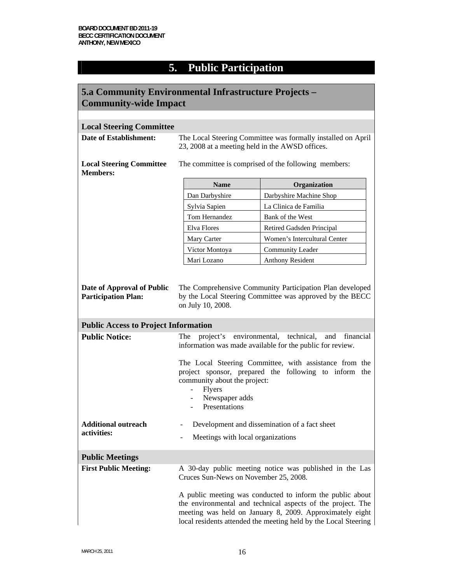# **5. Public Participation**

| 5.a Community Environmental Infrastructure Projects – |                                                                                                                                                                                                                                                         |                              |  |
|-------------------------------------------------------|---------------------------------------------------------------------------------------------------------------------------------------------------------------------------------------------------------------------------------------------------------|------------------------------|--|
| <b>Community-wide Impact</b>                          |                                                                                                                                                                                                                                                         |                              |  |
|                                                       |                                                                                                                                                                                                                                                         |                              |  |
| <b>Local Steering Committee</b>                       |                                                                                                                                                                                                                                                         |                              |  |
| <b>Date of Establishment:</b>                         | The Local Steering Committee was formally installed on April<br>23, 2008 at a meeting held in the AWSD offices.                                                                                                                                         |                              |  |
| <b>Local Steering Committee</b><br><b>Members:</b>    | The committee is comprised of the following members:                                                                                                                                                                                                    |                              |  |
|                                                       | <b>Name</b>                                                                                                                                                                                                                                             | Organization                 |  |
|                                                       | Dan Darbyshire                                                                                                                                                                                                                                          | Darbyshire Machine Shop      |  |
|                                                       | Sylvia Sapien                                                                                                                                                                                                                                           | La Clinica de Familia        |  |
|                                                       | Tom Hernandez                                                                                                                                                                                                                                           | Bank of the West             |  |
|                                                       | Elva Flores                                                                                                                                                                                                                                             | Retired Gadsden Principal    |  |
|                                                       | Mary Carter                                                                                                                                                                                                                                             | Women's Intercultural Center |  |
|                                                       | Victor Montoya                                                                                                                                                                                                                                          | <b>Community Leader</b>      |  |
|                                                       | Mari Lozano                                                                                                                                                                                                                                             | Anthony Resident             |  |
| <b>Public Access to Project Information</b>           |                                                                                                                                                                                                                                                         |                              |  |
|                                                       |                                                                                                                                                                                                                                                         |                              |  |
| <b>Public Notice:</b>                                 | project's environmental,<br>technical,<br>The<br>and<br>financial<br>information was made available for the public for review.                                                                                                                          |                              |  |
|                                                       | The Local Steering Committee, with assistance from the<br>project sponsor, prepared the following to inform the<br>community about the project:<br><b>Flyers</b><br>Newspaper adds<br>Presentations                                                     |                              |  |
| <b>Additional outreach</b>                            | Development and dissemination of a fact sheet                                                                                                                                                                                                           |                              |  |
| activities:                                           | Meetings with local organizations                                                                                                                                                                                                                       |                              |  |
| <b>Public Meetings</b>                                |                                                                                                                                                                                                                                                         |                              |  |
| <b>First Public Meeting:</b>                          | A 30-day public meeting notice was published in the Las<br>Cruces Sun-News on November 25, 2008.                                                                                                                                                        |                              |  |
|                                                       | A public meeting was conducted to inform the public about<br>the environmental and technical aspects of the project. The<br>meeting was held on January 8, 2009. Approximately eight<br>local residents attended the meeting held by the Local Steering |                              |  |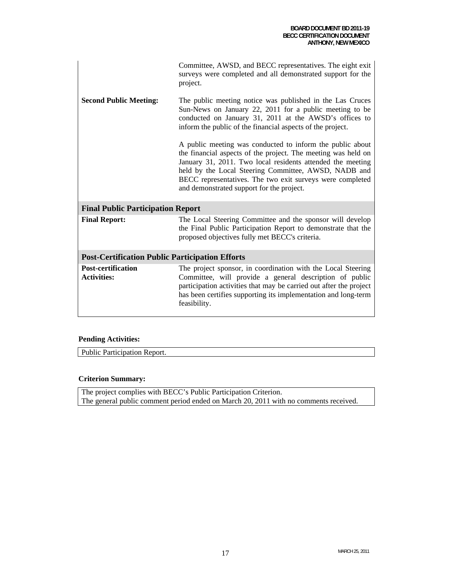|                                                        | Committee, AWSD, and BECC representatives. The eight exit<br>surveys were completed and all demonstrated support for the<br>project.                                                                                                                                                                                                                       |  |
|--------------------------------------------------------|------------------------------------------------------------------------------------------------------------------------------------------------------------------------------------------------------------------------------------------------------------------------------------------------------------------------------------------------------------|--|
| <b>Second Public Meeting:</b>                          | The public meeting notice was published in the Las Cruces<br>Sun-News on January 22, 2011 for a public meeting to be<br>conducted on January 31, 2011 at the AWSD's offices to<br>inform the public of the financial aspects of the project.                                                                                                               |  |
|                                                        | A public meeting was conducted to inform the public about<br>the financial aspects of the project. The meeting was held on<br>January 31, 2011. Two local residents attended the meeting<br>held by the Local Steering Committee, AWSD, NADB and<br>BECC representatives. The two exit surveys were completed<br>and demonstrated support for the project. |  |
| <b>Final Public Participation Report</b>               |                                                                                                                                                                                                                                                                                                                                                            |  |
| <b>Final Report:</b>                                   | The Local Steering Committee and the sponsor will develop<br>the Final Public Participation Report to demonstrate that the<br>proposed objectives fully met BECC's criteria.                                                                                                                                                                               |  |
| <b>Post-Certification Public Participation Efforts</b> |                                                                                                                                                                                                                                                                                                                                                            |  |
| <b>Post-certification</b><br><b>Activities:</b>        | The project sponsor, in coordination with the Local Steering<br>Committee, will provide a general description of public<br>participation activities that may be carried out after the project<br>has been certifies supporting its implementation and long-term<br>feasibility.                                                                            |  |

Public Participation Report.

#### **Criterion Summary:**

The project complies with BECC's Public Participation Criterion. The general public comment period ended on March 20, 2011 with no comments received.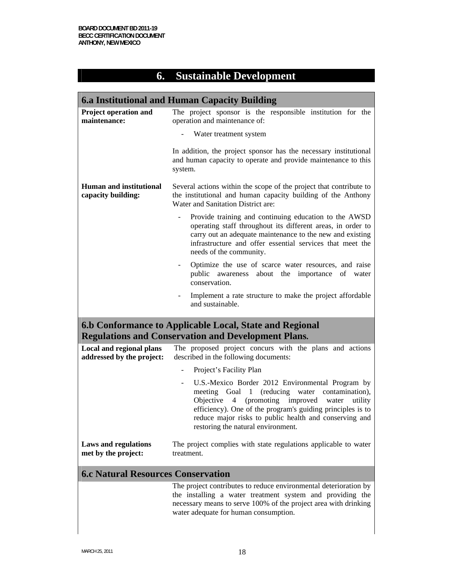# **6. Sustainable Development**

| <b>6.a Institutional and Human Capacity Building</b>  |                                                                                                                                                                                                                                                                                                                                                          |  |  |  |  |
|-------------------------------------------------------|----------------------------------------------------------------------------------------------------------------------------------------------------------------------------------------------------------------------------------------------------------------------------------------------------------------------------------------------------------|--|--|--|--|
| Project operation and<br>maintenance:                 | The project sponsor is the responsible institution for the<br>operation and maintenance of:                                                                                                                                                                                                                                                              |  |  |  |  |
|                                                       | Water treatment system                                                                                                                                                                                                                                                                                                                                   |  |  |  |  |
|                                                       | In addition, the project sponsor has the necessary institutional<br>and human capacity to operate and provide maintenance to this<br>system.                                                                                                                                                                                                             |  |  |  |  |
| <b>Human and institutional</b><br>capacity building:  | Several actions within the scope of the project that contribute to<br>the institutional and human capacity building of the Anthony<br>Water and Sanitation District are:                                                                                                                                                                                 |  |  |  |  |
|                                                       | Provide training and continuing education to the AWSD<br>operating staff throughout its different areas, in order to<br>carry out an adequate maintenance to the new and existing<br>infrastructure and offer essential services that meet the<br>needs of the community.                                                                                |  |  |  |  |
|                                                       | Optimize the use of scarce water resources, and raise<br>-<br>public awareness about the importance<br>of<br>water<br>conservation.                                                                                                                                                                                                                      |  |  |  |  |
|                                                       | Implement a rate structure to make the project affordable<br>and sustainable.                                                                                                                                                                                                                                                                            |  |  |  |  |
|                                                       | 6.b Conformance to Applicable Local, State and Regional<br><b>Regulations and Conservation and Development Plans.</b>                                                                                                                                                                                                                                    |  |  |  |  |
| Local and regional plans<br>addressed by the project: | The proposed project concurs with the plans and actions<br>described in the following documents:                                                                                                                                                                                                                                                         |  |  |  |  |
|                                                       | Project's Facility Plan                                                                                                                                                                                                                                                                                                                                  |  |  |  |  |
|                                                       | U.S.-Mexico Border 2012 Environmental Program by<br>(reducing)<br>meeting<br>Goal<br>$\mathbf{1}$<br>water<br>contamination),<br>Objective<br>4<br>(promoting improved<br>water<br>utility<br>efficiency). One of the program's guiding principles is to<br>reduce major risks to public health and conserving and<br>restoring the natural environment. |  |  |  |  |
| <b>Laws and regulations</b><br>met by the project:    | The project complies with state regulations applicable to water<br>treatment.                                                                                                                                                                                                                                                                            |  |  |  |  |
| <b>6.c Natural Resources Conservation</b>             |                                                                                                                                                                                                                                                                                                                                                          |  |  |  |  |
|                                                       | The project contributes to reduce environmental deterioration by<br>the installing a water treatment system and providing the<br>necessary means to serve 100% of the project area with drinking<br>water adequate for human consumption.                                                                                                                |  |  |  |  |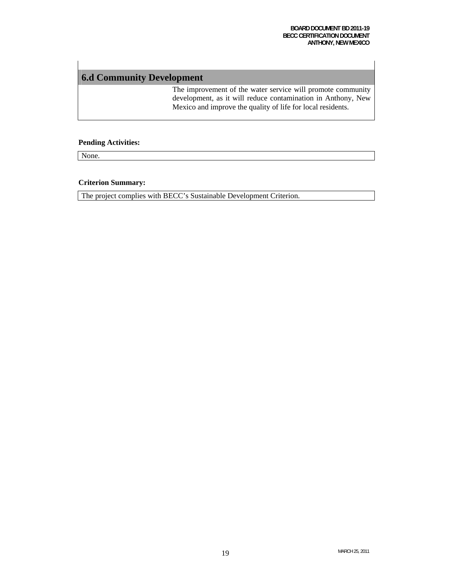## **6.d Community Development**

The improvement of the water service will promote community development, as it will reduce contamination in Anthony, New Mexico and improve the quality of life for local residents.

#### **Pending Activities:**

None.

#### **Criterion Summary:**

The project complies with BECC's Sustainable Development Criterion.